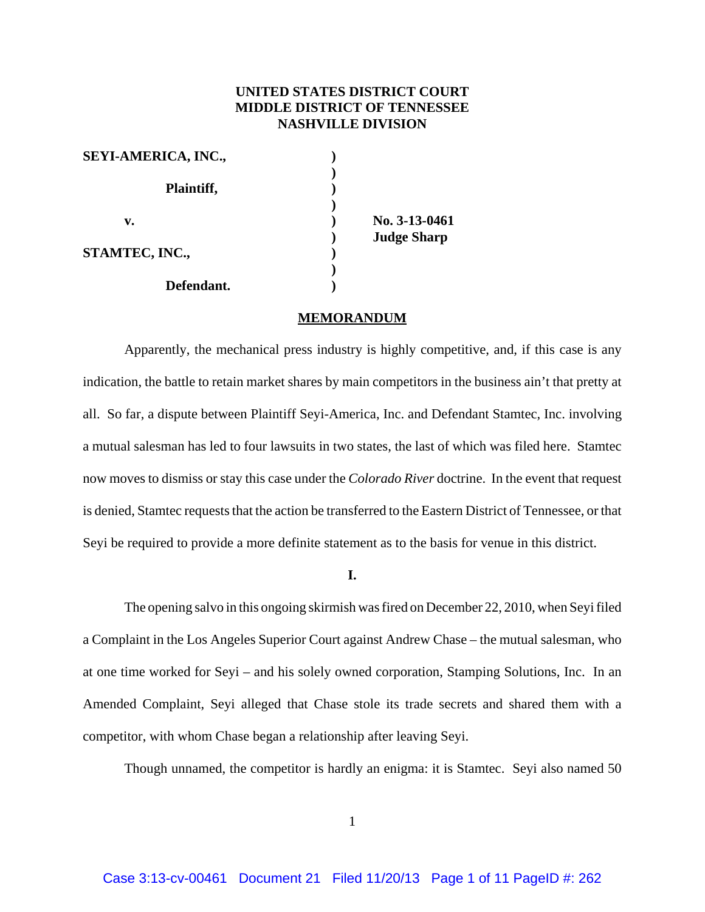# **UNITED STATES DISTRICT COURT MIDDLE DISTRICT OF TENNESSEE NASHVILLE DIVISION**

| <b>SEYI-AMERICA, INC.,</b> |                    |
|----------------------------|--------------------|
| Plaintiff,                 |                    |
|                            |                    |
| v.                         | No. 3-13-0461      |
|                            | <b>Judge Sharp</b> |
| STAMTEC, INC.,             |                    |
|                            |                    |
| Defendant.                 |                    |

#### **MEMORANDUM**

Apparently, the mechanical press industry is highly competitive, and, if this case is any indication, the battle to retain market shares by main competitors in the business ain't that pretty at all. So far, a dispute between Plaintiff Seyi-America, Inc. and Defendant Stamtec, Inc. involving a mutual salesman has led to four lawsuits in two states, the last of which was filed here. Stamtec now moves to dismiss or stay this case under the *Colorado River* doctrine. In the event that request is denied, Stamtec requests that the action be transferred to the Eastern District of Tennessee, or that Seyi be required to provide a more definite statement as to the basis for venue in this district.

**I.**

The opening salvo in this ongoing skirmish was fired on December 22, 2010, when Seyi filed a Complaint in the Los Angeles Superior Court against Andrew Chase – the mutual salesman, who at one time worked for Seyi – and his solely owned corporation, Stamping Solutions, Inc. In an Amended Complaint, Seyi alleged that Chase stole its trade secrets and shared them with a competitor, with whom Chase began a relationship after leaving Seyi.

Though unnamed, the competitor is hardly an enigma: it is Stamtec. Seyi also named 50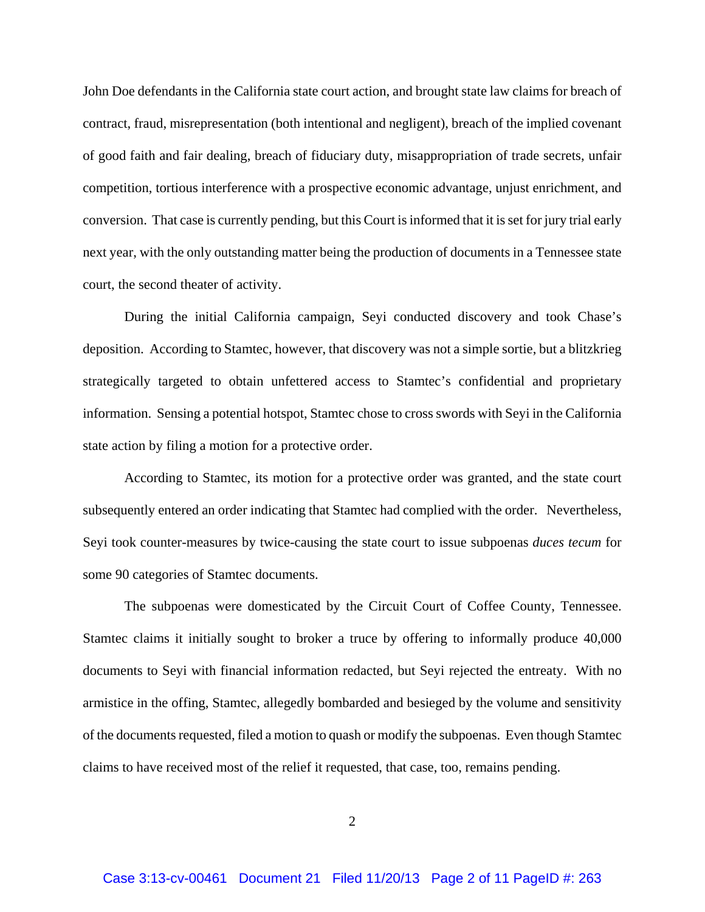John Doe defendants in the California state court action, and brought state law claims for breach of contract, fraud, misrepresentation (both intentional and negligent), breach of the implied covenant of good faith and fair dealing, breach of fiduciary duty, misappropriation of trade secrets, unfair competition, tortious interference with a prospective economic advantage, unjust enrichment, and conversion. That case is currently pending, but this Court is informed that it is set for jury trial early next year, with the only outstanding matter being the production of documents in a Tennessee state court, the second theater of activity.

During the initial California campaign, Seyi conducted discovery and took Chase's deposition. According to Stamtec, however, that discovery was not a simple sortie, but a blitzkrieg strategically targeted to obtain unfettered access to Stamtec's confidential and proprietary information. Sensing a potential hotspot, Stamtec chose to cross swords with Seyi in the California state action by filing a motion for a protective order.

According to Stamtec, its motion for a protective order was granted, and the state court subsequently entered an order indicating that Stamtec had complied with the order. Nevertheless, Seyi took counter-measures by twice-causing the state court to issue subpoenas *duces tecum* for some 90 categories of Stamtec documents.

The subpoenas were domesticated by the Circuit Court of Coffee County, Tennessee. Stamtec claims it initially sought to broker a truce by offering to informally produce 40,000 documents to Seyi with financial information redacted, but Seyi rejected the entreaty. With no armistice in the offing, Stamtec, allegedly bombarded and besieged by the volume and sensitivity of the documents requested, filed a motion to quash or modify the subpoenas. Even though Stamtec claims to have received most of the relief it requested, that case, too, remains pending.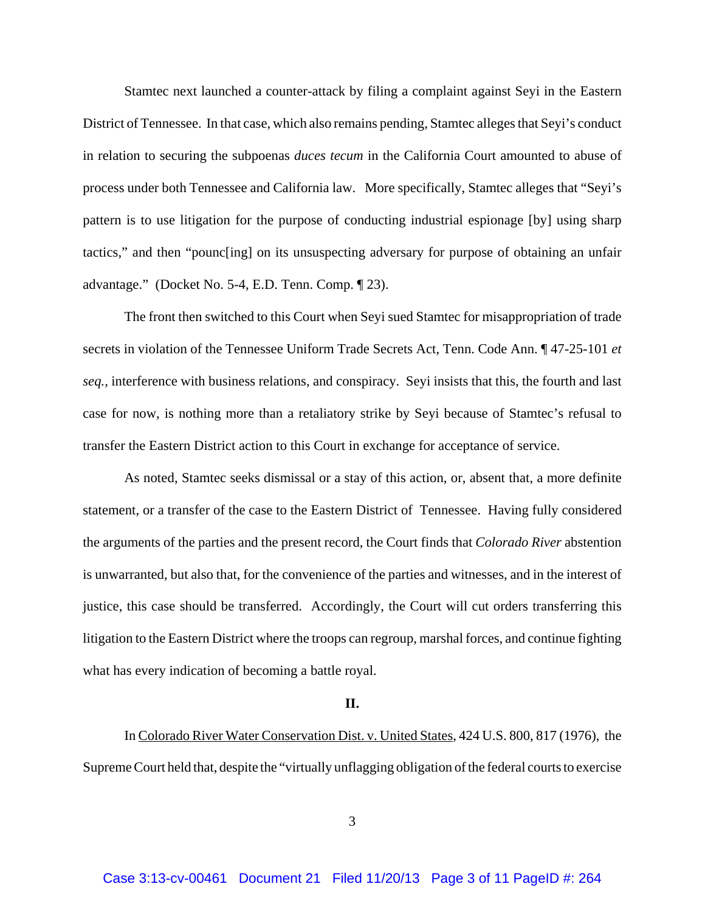Stamtec next launched a counter-attack by filing a complaint against Seyi in the Eastern District of Tennessee. In that case, which also remains pending, Stamtec alleges that Seyi's conduct in relation to securing the subpoenas *duces tecum* in the California Court amounted to abuse of process under both Tennessee and California law. More specifically, Stamtec alleges that "Seyi's pattern is to use litigation for the purpose of conducting industrial espionage [by] using sharp tactics," and then "pounc[ing] on its unsuspecting adversary for purpose of obtaining an unfair advantage." (Docket No. 5-4, E.D. Tenn. Comp. ¶ 23).

The front then switched to this Court when Seyi sued Stamtec for misappropriation of trade secrets in violation of the Tennessee Uniform Trade Secrets Act, Tenn. Code Ann. ¶ 47-25-101 *et seq.,* interference with business relations, and conspiracy. Seyi insists that this, the fourth and last case for now, is nothing more than a retaliatory strike by Seyi because of Stamtec's refusal to transfer the Eastern District action to this Court in exchange for acceptance of service.

As noted, Stamtec seeks dismissal or a stay of this action, or, absent that, a more definite statement, or a transfer of the case to the Eastern District of Tennessee. Having fully considered the arguments of the parties and the present record, the Court finds that *Colorado River* abstention is unwarranted, but also that, for the convenience of the parties and witnesses, and in the interest of justice, this case should be transferred. Accordingly, the Court will cut orders transferring this litigation to the Eastern District where the troops can regroup, marshal forces, and continue fighting what has every indication of becoming a battle royal.

#### **II.**

In Colorado River Water Conservation Dist. v. United States, 424 U.S. 800, 817 (1976), the Supreme Court held that, despite the "virtually unflagging obligation of the federal courts to exercise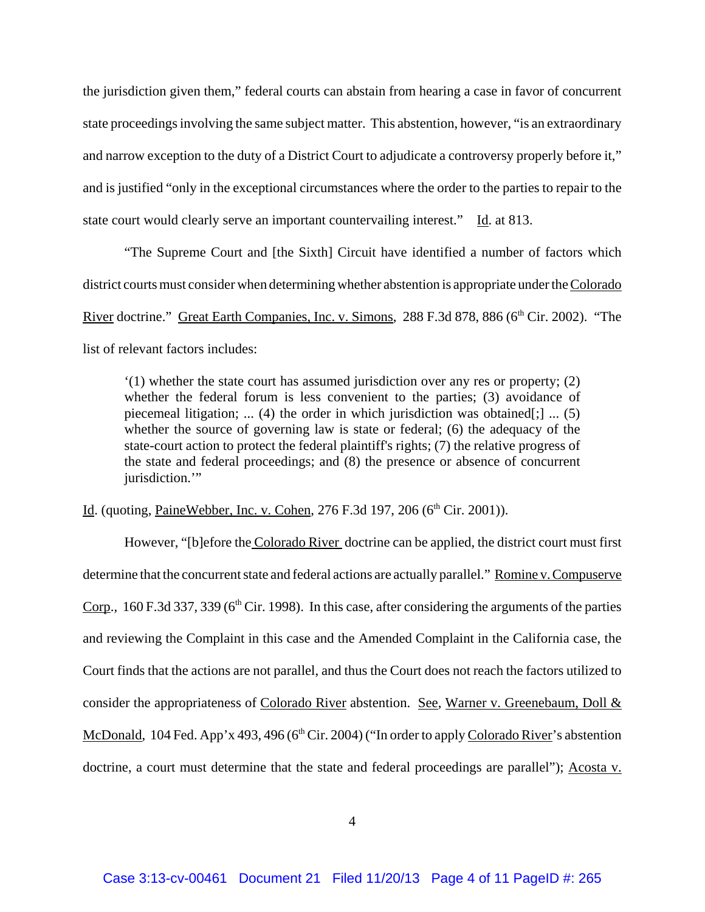the jurisdiction given them," federal courts can abstain from hearing a case in favor of concurrent state proceedings involving the same subject matter. This abstention, however, "is an extraordinary and narrow exception to the duty of a District Court to adjudicate a controversy properly before it," and is justified "only in the exceptional circumstances where the order to the parties to repair to the state court would clearly serve an important countervailing interest." Id. at 813.

"The Supreme Court and [the Sixth] Circuit have identified a number of factors which district courts must consider when determining whether abstention is appropriate under the Colorado River doctrine." Great Earth Companies, Inc. v. Simons, 288 F.3d 878, 886 (6<sup>th</sup> Cir. 2002). "The list of relevant factors includes:

'(1) whether the state court has assumed jurisdiction over any res or property; (2) whether the federal forum is less convenient to the parties; (3) avoidance of piecemeal litigation; ... (4) the order in which jurisdiction was obtained[;] ... (5) whether the source of governing law is state or federal; (6) the adequacy of the state-court action to protect the federal plaintiff's rights; (7) the relative progress of the state and federal proceedings; and (8) the presence or absence of concurrent jurisdiction."

Id. (quoting, PaineWebber, Inc. v. Cohen, 276 F.3d 197, 206 (6<sup>th</sup> Cir. 2001)).

However, "[b]efore the Colorado River doctrine can be applied, the district court must first determine that the concurrent state and federal actions are actually parallel." Romine v. Compuserve Corp., 160 F.3d 337, 339 ( $6<sup>th</sup>$  Cir. 1998). In this case, after considering the arguments of the parties and reviewing the Complaint in this case and the Amended Complaint in the California case, the Court finds that the actions are not parallel, and thus the Court does not reach the factors utilized to consider the appropriateness of Colorado River abstention. See, Warner v. Greenebaum, Doll & McDonald, 104 Fed. App'x 493, 496 (6<sup>th</sup> Cir. 2004) ("In order to apply Colorado River's abstention doctrine, a court must determine that the state and federal proceedings are parallel"); Acosta v.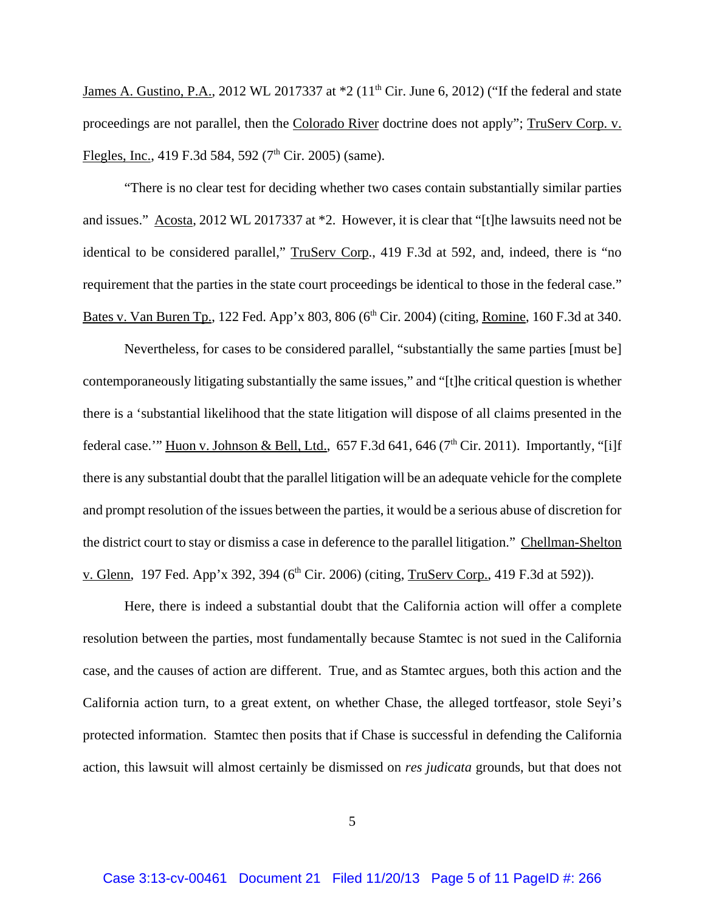James A. Gustino, P.A., 2012 WL 2017337 at \*2 (11<sup>th</sup> Cir. June 6, 2012) ("If the federal and state proceedings are not parallel, then the Colorado River doctrine does not apply"; TruServ Corp. v. Flegles, Inc., 419 F.3d 584, 592 ( $7<sup>th</sup>$  Cir. 2005) (same).

"There is no clear test for deciding whether two cases contain substantially similar parties and issues." Acosta, 2012 WL 2017337 at \*2. However, it is clear that "[t]he lawsuits need not be identical to be considered parallel," TruServ Corp., 419 F.3d at 592, and, indeed, there is "no requirement that the parties in the state court proceedings be identical to those in the federal case." Bates v. Van Buren Tp., 122 Fed. App'x 803, 806 (6<sup>th</sup> Cir. 2004) (citing, Romine, 160 F.3d at 340.

Nevertheless, for cases to be considered parallel, "substantially the same parties [must be] contemporaneously litigating substantially the same issues," and "[t]he critical question is whether there is a 'substantial likelihood that the state litigation will dispose of all claims presented in the federal case.'" Huon v. Johnson & Bell, Ltd.,  $657$  F.3d  $641$ ,  $646$  ( $7<sup>th</sup>$  Cir. 2011). Importantly, "[i]f there is any substantial doubt that the parallel litigation will be an adequate vehicle for the complete and prompt resolution of the issues between the parties, it would be a serious abuse of discretion for the district court to stay or dismiss a case in deference to the parallel litigation." Chellman-Shelton v. Glenn, 197 Fed. App'x 392, 394 (6<sup>th</sup> Cir. 2006) (citing, TruServ Corp., 419 F.3d at 592)).

Here, there is indeed a substantial doubt that the California action will offer a complete resolution between the parties, most fundamentally because Stamtec is not sued in the California case, and the causes of action are different. True, and as Stamtec argues, both this action and the California action turn, to a great extent, on whether Chase, the alleged tortfeasor, stole Seyi's protected information. Stamtec then posits that if Chase is successful in defending the California action, this lawsuit will almost certainly be dismissed on *res judicata* grounds, but that does not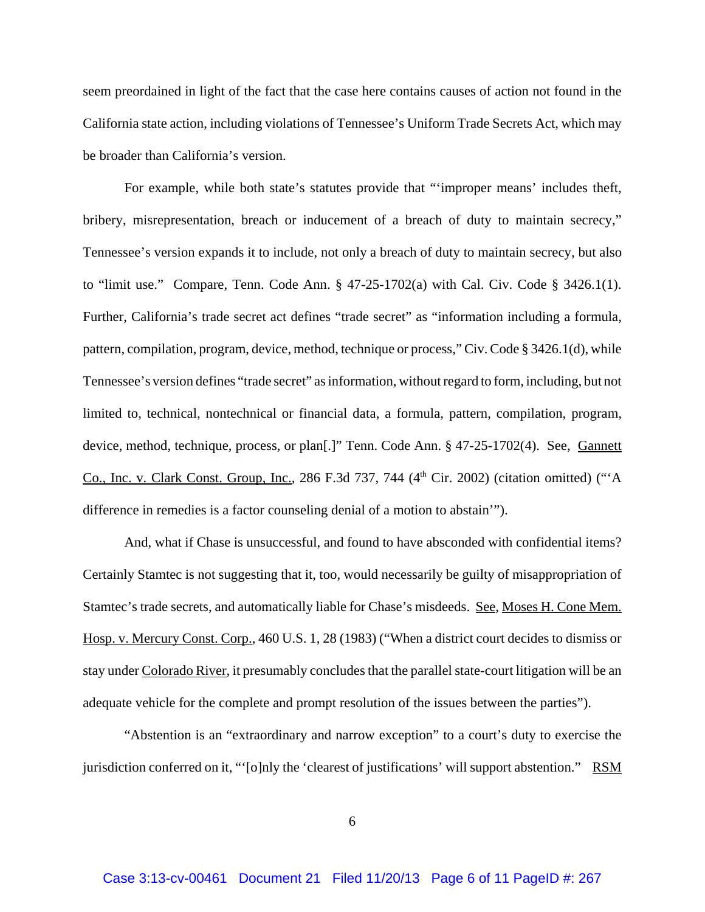seem preordained in light of the fact that the case here contains causes of action not found in the California state action, including violations of Tennessee's Uniform Trade Secrets Act, which may be broader than California's version.

For example, while both state's statutes provide that "'improper means' includes theft, bribery, misrepresentation, breach or inducement of a breach of duty to maintain secrecy," Tennessee's version expands it to include, not only a breach of duty to maintain secrecy, but also to "limit use." Compare, Tenn. Code Ann. § 47-25-1702(a) with Cal. Civ. Code § 3426.1(1). Further, California's trade secret act defines "trade secret" as "information including a formula, pattern, compilation, program, device, method, technique or process," Civ. Code § 3426.1(d), while Tennessee's version defines "trade secret" as information, without regard to form, including, but not limited to, technical, nontechnical or financial data, a formula, pattern, compilation, program, device, method, technique, process, or plan[.]" Tenn. Code Ann. § 47-25-1702(4). See, Gannett Co., Inc. v. Clark Const. Group, Inc., 286 F.3d 737, 744  $(4<sup>th</sup> Cir. 2002)$  (citation omitted) ("'A difference in remedies is a factor counseling denial of a motion to abstain'").

And, what if Chase is unsuccessful, and found to have absconded with confidential items? Certainly Stamtec is not suggesting that it, too, would necessarily be guilty of misappropriation of Stamtec's trade secrets, and automatically liable for Chase's misdeeds. See, Moses H. Cone Mem. Hosp. v. Mercury Const. Corp., 460 U.S. 1, 28 (1983) ("When a district court decides to dismiss or stay under Colorado River, it presumably concludes that the parallel state-court litigation will be an adequate vehicle for the complete and prompt resolution of the issues between the parties").

"Abstention is an "extraordinary and narrow exception" to a court's duty to exercise the jurisdiction conferred on it, "'[o]nly the 'clearest of justifications' will support abstention." RSM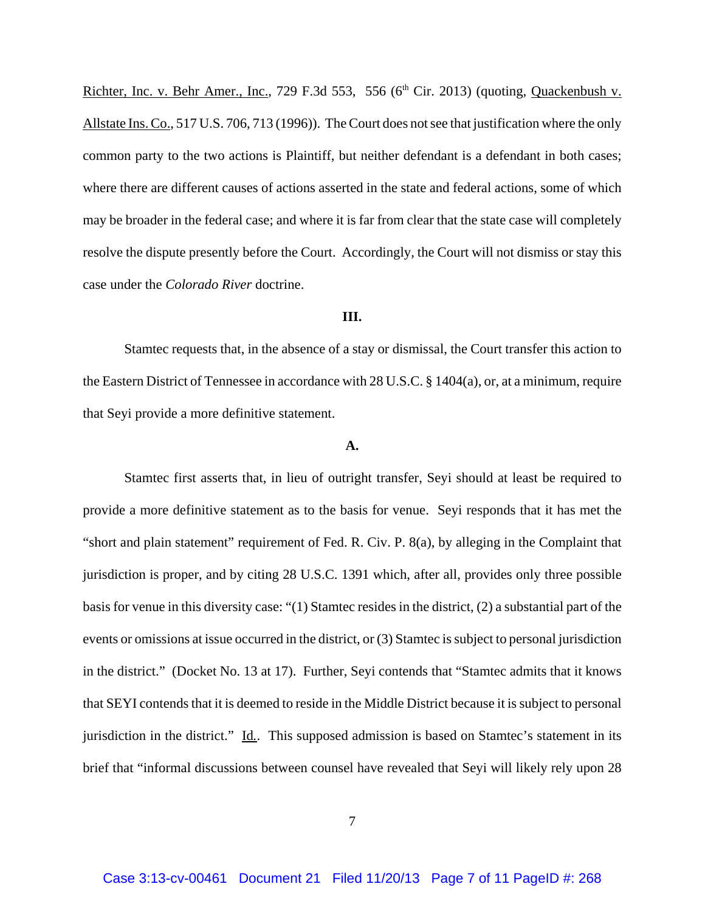Richter, Inc. v. Behr Amer., Inc., 729 F.3d 553, 556 ( $6<sup>th</sup>$  Cir. 2013) (quoting, Quackenbush v. Allstate Ins. Co., 517 U.S. 706, 713 (1996)). The Court does not see that justification where the only common party to the two actions is Plaintiff, but neither defendant is a defendant in both cases; where there are different causes of actions asserted in the state and federal actions, some of which may be broader in the federal case; and where it is far from clear that the state case will completely resolve the dispute presently before the Court. Accordingly, the Court will not dismiss or stay this case under the *Colorado River* doctrine.

#### **III.**

Stamtec requests that, in the absence of a stay or dismissal, the Court transfer this action to the Eastern District of Tennessee in accordance with 28 U.S.C. § 1404(a), or, at a minimum, require that Seyi provide a more definitive statement.

#### **A.**

Stamtec first asserts that, in lieu of outright transfer, Seyi should at least be required to provide a more definitive statement as to the basis for venue. Seyi responds that it has met the "short and plain statement" requirement of Fed. R. Civ. P. 8(a), by alleging in the Complaint that jurisdiction is proper, and by citing 28 U.S.C. 1391 which, after all, provides only three possible basis for venue in this diversity case: "(1) Stamtec resides in the district, (2) a substantial part of the events or omissions at issue occurred in the district, or (3) Stamtec is subject to personal jurisdiction in the district." (Docket No. 13 at 17). Further, Seyi contends that "Stamtec admits that it knows that SEYI contends that it is deemed to reside in the Middle District because it is subject to personal jurisdiction in the district." Id*.*. This supposed admission is based on Stamtec's statement in its brief that "informal discussions between counsel have revealed that Seyi will likely rely upon 28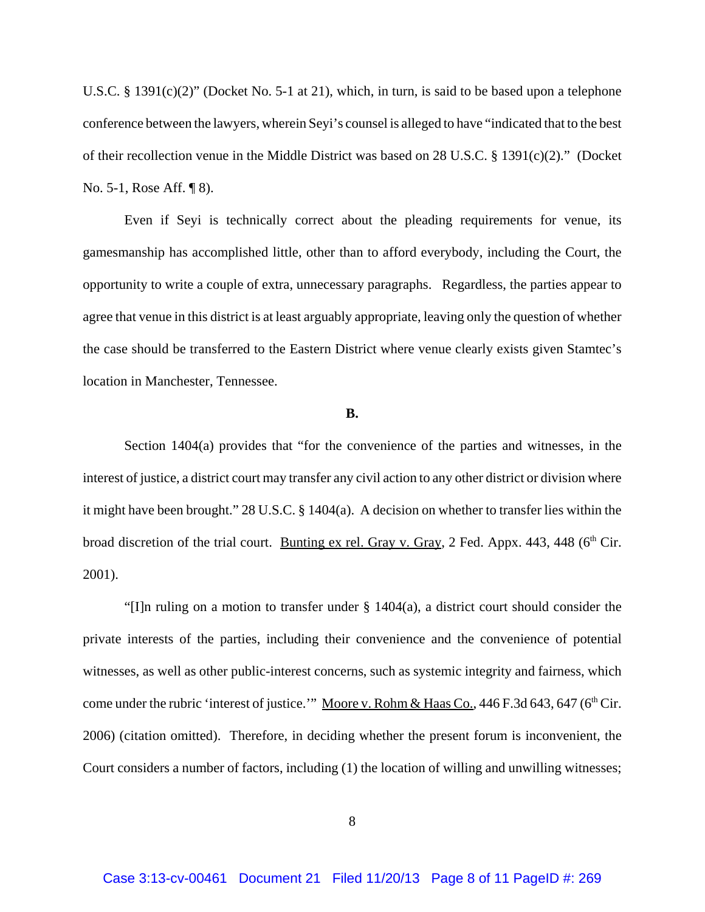U.S.C. § 1391(c)(2)" (Docket No. 5-1 at 21), which, in turn, is said to be based upon a telephone conference between the lawyers, wherein Seyi's counsel is alleged to have "indicated that to the best of their recollection venue in the Middle District was based on 28 U.S.C. § 1391(c)(2)." (Docket No. 5-1, Rose Aff. ¶ 8).

Even if Seyi is technically correct about the pleading requirements for venue, its gamesmanship has accomplished little, other than to afford everybody, including the Court, the opportunity to write a couple of extra, unnecessary paragraphs. Regardless, the parties appear to agree that venue in this district is at least arguably appropriate, leaving only the question of whether the case should be transferred to the Eastern District where venue clearly exists given Stamtec's location in Manchester, Tennessee.

### **B.**

Section 1404(a) provides that "for the convenience of the parties and witnesses, in the interest of justice, a district court may transfer any civil action to any other district or division where it might have been brought." 28 U.S.C. § 1404(a). A decision on whether to transfer lies within the broad discretion of the trial court. Bunting ex rel. Gray v. Gray, 2 Fed. Appx. 443, 448 ( $6<sup>th</sup> Cir$ . 2001).

"[I]n ruling on a motion to transfer under § 1404(a), a district court should consider the private interests of the parties, including their convenience and the convenience of potential witnesses, as well as other public-interest concerns, such as systemic integrity and fairness, which come under the rubric 'interest of justice.'" Moore v. Rohm & Haas Co., 446 F.3d 643, 647 ( $6<sup>th</sup> Cir.$ 2006) (citation omitted). Therefore, in deciding whether the present forum is inconvenient, the Court considers a number of factors, including (1) the location of willing and unwilling witnesses;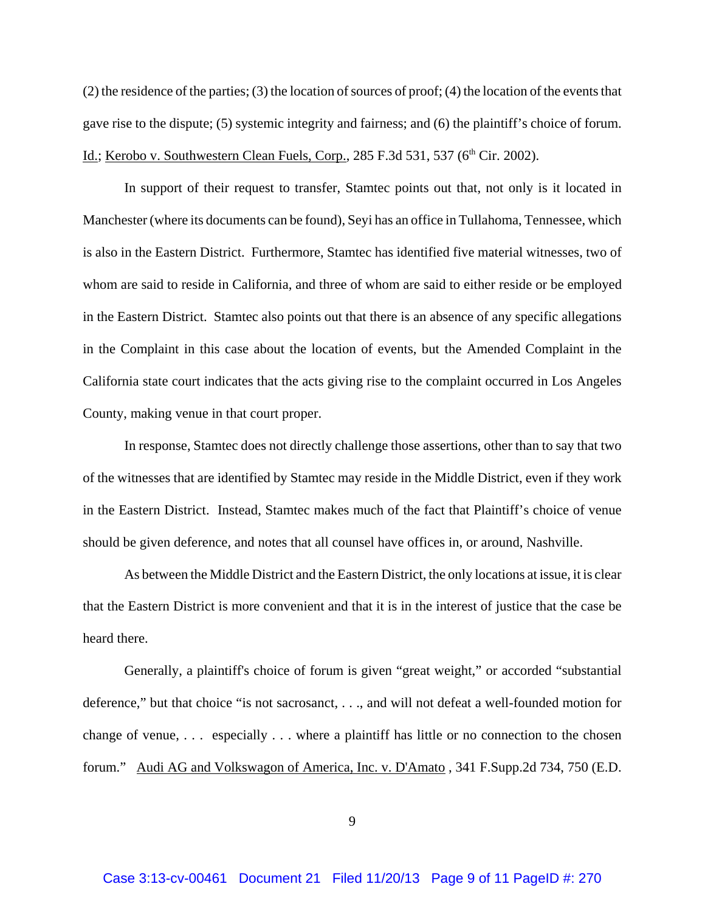(2) the residence of the parties; (3) the location of sources of proof; (4) the location of the events that gave rise to the dispute; (5) systemic integrity and fairness; and (6) the plaintiff's choice of forum. Id.; Kerobo v. Southwestern Clean Fuels, Corp.,  $285$  F.3d  $531$ ,  $537$  ( $6<sup>th</sup>$  Cir. 2002).

In support of their request to transfer, Stamtec points out that, not only is it located in Manchester (where its documents can be found), Seyi has an office in Tullahoma, Tennessee, which is also in the Eastern District. Furthermore, Stamtec has identified five material witnesses, two of whom are said to reside in California, and three of whom are said to either reside or be employed in the Eastern District. Stamtec also points out that there is an absence of any specific allegations in the Complaint in this case about the location of events, but the Amended Complaint in the California state court indicates that the acts giving rise to the complaint occurred in Los Angeles County, making venue in that court proper.

In response, Stamtec does not directly challenge those assertions, other than to say that two of the witnesses that are identified by Stamtec may reside in the Middle District, even if they work in the Eastern District. Instead, Stamtec makes much of the fact that Plaintiff's choice of venue should be given deference, and notes that all counsel have offices in, or around, Nashville.

As between the Middle District and the Eastern District, the only locations at issue, it is clear that the Eastern District is more convenient and that it is in the interest of justice that the case be heard there.

Generally, a plaintiff's choice of forum is given "great weight," or accorded "substantial deference," but that choice "is not sacrosanct, . . ., and will not defeat a well-founded motion for change of venue, . . . especially . . . where a plaintiff has little or no connection to the chosen forum." Audi AG and Volkswagon of America, Inc. v. D'Amato , 341 F.Supp.2d 734, 750 (E.D.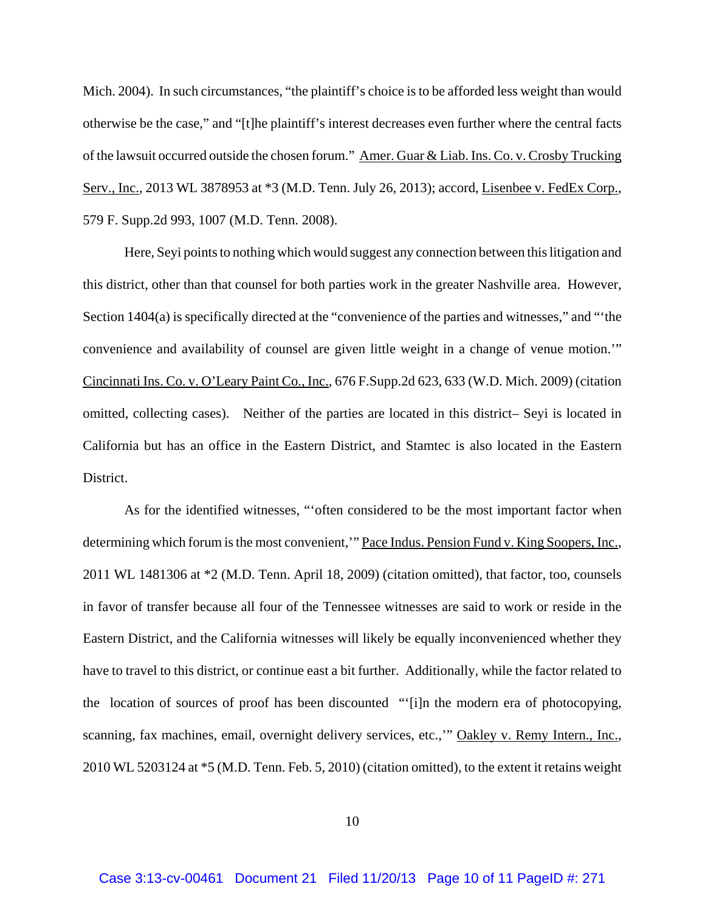Mich. 2004). In such circumstances, "the plaintiff's choice is to be afforded less weight than would otherwise be the case," and "[t]he plaintiff's interest decreases even further where the central facts of the lawsuit occurred outside the chosen forum." Amer. Guar & Liab. Ins. Co. v. Crosby Trucking Serv., Inc., 2013 WL 3878953 at \*3 (M.D. Tenn. July 26, 2013); accord, Lisenbee v. FedEx Corp., 579 F. Supp.2d 993, 1007 (M.D. Tenn. 2008).

Here, Seyi points to nothing which would suggest any connection between this litigation and this district, other than that counsel for both parties work in the greater Nashville area. However, Section 1404(a) is specifically directed at the "convenience of the parties and witnesses," and "'the convenience and availability of counsel are given little weight in a change of venue motion.'" Cincinnati Ins. Co. v. O'Leary Paint Co., Inc., 676 F.Supp.2d 623, 633 (W.D. Mich. 2009) (citation omitted, collecting cases). Neither of the parties are located in this district– Seyi is located in California but has an office in the Eastern District, and Stamtec is also located in the Eastern District.

As for the identified witnesses, "'often considered to be the most important factor when determining which forum is the most convenient," Pace Indus. Pension Fund v. King Soopers, Inc., 2011 WL 1481306 at \*2 (M.D. Tenn. April 18, 2009) (citation omitted), that factor, too, counsels in favor of transfer because all four of the Tennessee witnesses are said to work or reside in the Eastern District, and the California witnesses will likely be equally inconvenienced whether they have to travel to this district, or continue east a bit further. Additionally, while the factor related to the location of sources of proof has been discounted "'[i]n the modern era of photocopying, scanning, fax machines, email, overnight delivery services, etc.," Oakley v. Remy Intern., Inc., 2010 WL 5203124 at \*5 (M.D. Tenn. Feb. 5, 2010) (citation omitted), to the extent it retains weight